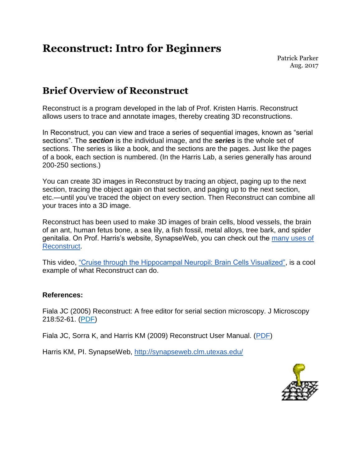# **Reconstruct: Intro for Beginners**

### **Brief Overview of Reconstruct**

Reconstruct is a program developed in the lab of Prof. Kristen Harris. Reconstruct allows users to trace and annotate images, thereby creating 3D reconstructions.

In Reconstruct, you can view and trace a series of sequential images, known as "serial sections". The *section* is the individual image, and the *series* is the whole set of sections. The series is like a book, and the sections are the pages. Just like the pages of a book, each section is numbered. (In the Harris Lab, a series generally has around 200-250 sections.)

You can create 3D images in Reconstruct by tracing an object, paging up to the next section, tracing the object again on that section, and paging up to the next section, etc.—until you've traced the object on every section. Then Reconstruct can combine all your traces into a 3D image.

Reconstruct has been used to make 3D images of brain cells, blood vessels, the brain of an ant, human fetus bone, a sea lily, a fish fossil, metal alloys, tree bark, and spider genitalia. On Prof. Harris's website, SynapseWeb, you can check out the [many uses of](http://synapseweb.clm.utexas.edu/citations)  [Reconstruct.](http://synapseweb.clm.utexas.edu/citations)

This video, ["Cruise through the Hippocampal Neuropil: Brain Cells Visualized",](https://www.youtube.com/watch?v=Xhfnp2ZS0I8) is a cool example of what Reconstruct can do.

#### **References:**

Fiala JC (2005) Reconstruct: A free editor for serial section microscopy. J Microscopy 218:52-61. [\(PDF\)](http://synapseweb.clm.utexas.edu/sites/default/files/synapseweb/files/2005_j_microscopy_fiala_reconstruct.pdf)

Fiala JC, Sorra K, and Harris KM (2009) Reconstruct User Manual. [\(PDF\)](http://synapseweb.clm.utexas.edu/sites/default/files/synapseweb/files/reconstructusermanualv1.1.0.0.pdf)

Harris KM, PI. SynapseWeb,<http://synapseweb.clm.utexas.edu/>

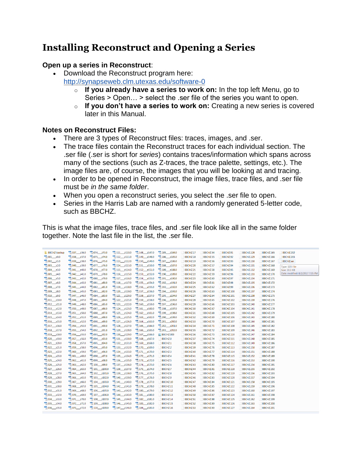## **Installing Reconstruct and Opening a Series**

#### **Open up a series in Reconstruct**:

- Download the Reconstruct program here: <http://synapseweb.clm.utexas.edu/software-0>
	- o **If you already have a series to work on:** In the top left Menu, go to Series > Open… > select the .ser file of the series you want to open.
	- o **If you don't have a series to work on:** Creating a new series is covered later in this Manual.

#### **Notes on Reconstruct Files:**

- There are 3 types of Reconstruct files: traces, images, and .ser.
- The trace files contain the Reconstruct traces for each individual section. The .ser file (.ser is short for *series*) contains traces/information which spans across many of the sections (such as Z-traces, the trace palette, settings, etc.). The image files are, of course, the images that you will be looking at and tracing.
- In order to be opened in Reconstruct, the image files, trace files, and .ser file must be *in the same folder*.
- When you open a reconstruct series, you select the .ser file to open.
- Series in the Harris Lab are named with a randomly generated 5-letter code, such as BBCHZ.

This is what the image files, trace files, and .ser file look like all in the same folder together. Note the last file in the list, the .ser file.

| <b>BBCHZ</b> backup | $037 - z36.0$  | $-074$ $z73.0$ | $111$ $z110.0$                        | $148$ $z147.0$ | $185 - z184.0$ | BBCHZ.17 | BBCHZ.54 | BBCHZ.91         | BBCHZ.128 | <b>BBCHZ.165</b> | <b>BBCHZ.202</b>                |
|---------------------|----------------|----------------|---------------------------------------|----------------|----------------|----------|----------|------------------|-----------|------------------|---------------------------------|
| $001$ z0.0          | $038 - z37.0$  | $-075$ $z74.0$ | $\frac{1}{2}$ 112 $\frac{1}{2}$ 111.0 | $149$ $z148.0$ | $186$ z185.0   | BBCHZ.18 | BBCHZ.55 | BBCHZ.92         | BBCHZ.129 | <b>BBCHZ.166</b> | <b>BBCHZ.203</b>                |
| $002$ z1.0          | $039 - z38.0$  | $-076$ $z75.0$ | $113$ z112.0                          | $150$ z149.0   | $187 - z186.0$ | BBCHZ.19 | BBCHZ.56 | BBCHZ.93         | BBCHZ.130 | BBCHZ.167        | <b>BBCHZ.ser</b>                |
| $003$ z2.0          | $040$ z39.0    | $-077$ z76.0   | $114 - z113.0$                        | $151$ z150.0   | $188$ z187.0   | BBCHZ.20 | BBCHZ.57 | BBCHZ.94         | BBCHZ.131 | BBCHZ.168        | <b>Type: SER File</b>           |
| $004 - z3.0$        | $-240.0$       | $-078$ $z77.0$ | $115 - z114.0$                        | $152$ $z151.0$ | $189 - z188.0$ | BBCHZ.21 | BBCHZ.58 | BBCHZ.95         | BBCHZ.132 | <b>BBCHZ.169</b> | Size: 10.3 KB                   |
| $005$ z4.0          | $-042$ $z41.0$ | $-079$ $z78.0$ | <b>116</b> z115.0                     | $153 - z152.0$ | $190$ $z189.0$ | BBCHZ.22 | BBCHZ.59 | BBCHZ.96         | BBCHZ.133 | BBCHZ.170        | Date modified: 8/2/2017 7:35 PM |
| $-0.006 - z5.0$     | $-643 - z42.0$ | $080$ z79.0    | $117 - z116.0$                        | $154 - z153.0$ | $191 - z190.0$ | BBCHZ.23 | BBCHZ.60 | BBCHZ.97         | BBCHZ.134 | <b>BBCHZ.171</b> |                                 |
| $1007$ z6.0         | $-044$ z43.0   | $-081$ $z80.0$ | <b>118</b> z117.0                     | 155 z154.0     | 192 z191.0     | BBCHZ.24 | BBCHZ.61 | BBCHZ.98         | BBCHZ.135 | BBCHZ.172        |                                 |
| $008 - z7.0$        | $-045$ $z44.0$ | $082 - z81.0$  | $119$ $z118.0$                        | $156$ z155.0   | $193 - z192.0$ | BBCHZ.25 | BBCHZ.62 | BBCHZ.99         | BBCHZ.136 | <b>BBCHZ.173</b> |                                 |
| <b>1009 z8.0</b>    | $-245.0$       | $083$ $z82.0$  | <b>120</b> z119.0                     | $157 - z156.0$ | 194 z193.0     | BBCHZ.26 | BBCHZ.63 | <b>BBCHZ.100</b> | BBCHZ.137 | BBCHZ.174        |                                 |
| $010$ z9.0          | $-047 - z46.0$ | $084 - z83.0$  | $-121$ $z120.0$                       | $158 - z157.0$ | $195 - z194.0$ | BBCHZ.27 | BBCHZ.64 | <b>BBCHZ.101</b> | BBCHZ.138 | <b>BBCHZ.175</b> |                                 |
| $011$ z10.0         | $048 - z47.0$  | $085 - z84.0$  | $122$ z121.0                          | $159 - z158.0$ | $196$ z195.0   | BBCHZ.28 | BBCHZ.65 | <b>BBCHZ.102</b> | BBCHZ.139 | <b>BBCHZ.176</b> |                                 |
| $012 - z11.0$       | $-049$ $z48.0$ | $086 - z85.0$  | <b>123 z122.0</b>                     | $160$ z159.0   | $197 - z196.0$ | BBCHZ.29 | BBCHZ.66 | <b>BBCHZ.103</b> | BBCHZ.140 | <b>BBCHZ.177</b> |                                 |
| $013$ $z12.0$       | $050$ z49.0    | $087 - z86.0$  | $124$ z123.0                          | $161$ $z160.0$ | $198 - z197.0$ | BBCHZ.30 | BBCHZ.67 | <b>BBCHZ.104</b> | BBCHZ.141 | <b>BBCHZ.178</b> |                                 |
| $014 - z13.0$       | $-051$ z50.0   | $088 - z87.0$  | $-125$ z124.0                         | $162 - z161.0$ | $199$ z198.0   | BBCHZ.31 | BBCHZ.68 | <b>BBCHZ.105</b> | BBCHZ.142 | BBCHZ.179        |                                 |
| $015 - z14.0$       | $052$ z51.0    | $089 - z88.0$  | $126$ z125.0                          | $163$ z162.0   | $200$ z199.0   | BBCHZ.32 | BBCHZ.69 | <b>BBCHZ.106</b> | BBCHZ.143 | <b>BBCHZ.180</b> |                                 |
| $016$ z15.0         | $-053$ z52.0   | $090$ z89.0    | $-127$ z126.0                         | $164$ z163.0   | $201$ z200.0   | BBCHZ.33 | BBCHZ.70 | <b>BBCHZ.107</b> | BBCHZ.144 | BBCHZ.181        |                                 |
| $017 - z16.0$       | $054 - z53.0$  | $091 - z90.0$  | $128$ $z127.0$                        | $165$ z164.0   | $202$ $z201.0$ | BBCHZ.34 | BBCHZ.71 | <b>BBCHZ.108</b> | BBCHZ.145 | <b>BBCHZ.182</b> |                                 |
| $018 - z17.0$       | $055 - z54.0$  | $092 - z91.0$  | $129 - z128.0$                        | $166$ z165.0   | $203$ z202.0   | BBCHZ.35 | BBCHZ.72 | <b>BBCHZ.109</b> | BBCHZ.146 | BBCHZ.183        |                                 |
| $019$ $z18.0$       | $-0.056$ z55.0 | $-093$ $z92.0$ | $130$ $z129.0$                        | $167 - z166.0$ | EBCHZ.000      | BBCHZ.36 | BBCHZ.73 | <b>BBCHZ.110</b> | BBCHZ.147 | <b>BBCHZ.184</b> |                                 |
| $020$ $z19.0$       | $-057$ z56.0   | $094 - z93.0$  | <b>131 z130.0</b>                     | $168 - z167.0$ | BBCHZ.0        | BBCHZ.37 | BBCHZ.74 | <b>BBCHZ.111</b> | BBCHZ.148 | BBCHZ.185        |                                 |
| $021$ z20.0         | $-058$ z57.0   | $-095$ z94.0   | $132$ $z131.0$                        | $169 - z168.0$ | BBCHZ.1        | BBCHZ.38 | BBCHZ.75 | <b>BBCHZ.112</b> | BBCHZ.149 | <b>BBCHZ.186</b> |                                 |
| $022$ z21.0         | $059 - z58.0$  | $096 - z95.0$  | 2132.0                                | $170$ z169.0   | BBCHZ.2        | BBCHZ.39 | BBCHZ.76 | <b>BBCHZ.113</b> | BBCHZ.150 | BBCHZ.187        |                                 |
| $023 - z22.0$       | $-060$ z59.0   | $-097 - z96.0$ | $134 - z133.0$                        | $171 - z170.0$ | BBCHZ.3        | BBCHZ.40 | BBCHZ.77 | <b>BBCHZ.114</b> | BBCHZ.151 | <b>BBCHZ.188</b> |                                 |
| $024 - z23.0$       | $-260.0$       | $098 - z97.0$  | $135$ $z134.0$                        | $172$ z171.0   | BBCHZ.4        | BBCHZ.41 | BBCHZ.78 | <b>BBCHZ.115</b> | BBCHZ.152 | <b>BBCHZ.189</b> |                                 |
| $025 - z24.0$       | $-062$ z61.0   | $-099$ z98.0   | <b>136 z135.0</b>                     | $173 - z172.0$ | BBCHZ.5        | BBCHZ.42 | BBCHZ.79 | <b>BBCHZ.116</b> | BBCHZ.153 | <b>BBCHZ.190</b> |                                 |
| $0.26 - z25.0$      | $063$ z62.0    | $100$ z99.0    | $137 - z136.0$                        | $174 - z173.0$ | BBCHZ.6        | BBCHZ.43 | BBCHZ.80 | <b>BBCHZ.117</b> | BBCHZ.154 | BBCHZ.191        |                                 |
| $027 - z26.0$       | $-064$ z63.0   | $101$ $z100.0$ | <b>138 z137.0</b>                     | $175 - z174.0$ | BBCHZ.7        | BBCHZ.44 | BBCHZ.81 | BBCHZ.118        | BBCHZ.155 | BBCHZ.192        |                                 |
| $028 - z27.0$       | $-264.0$       | $102$ $z101.0$ | $139$ $z138.0$                        | $176$ z175.0   | BBCHZ.8        | BBCHZ.45 | BBCHZ.82 | <b>BBCHZ.119</b> | BBCHZ.156 | <b>BBCHZ.193</b> |                                 |
| $029$ z28.0         | $-066$ z65.0   | $103 - z102.0$ | <b>140 z139.0</b>                     | $177 - z176.0$ | BBCHZ.9        | BBCHZ.46 | BBCHZ.83 | <b>BBCHZ.120</b> | BBCHZ.157 | BBCHZ.194        |                                 |
| $030$ z29.0         | $-266.0$       | $104$ $z103.0$ | $141$ $z140.0$                        | $178 - z177.0$ | BBCHZ.10       | BBCHZ.47 | BBCHZ.84 | <b>BBCHZ.121</b> | BBCHZ.158 | <b>BBCHZ.195</b> |                                 |
| $031$ z30.0         | $-068$ z67.0   | $105$ $z104.0$ | <b>142 z141.0</b>                     | $179 - z178.0$ | BBCHZ.11       | BBCHZ.48 | BBCHZ.85 | <b>BBCHZ.122</b> | BBCHZ.159 | <b>BBCHZ.196</b> |                                 |
| $-032$ $z31.0$      | $069$ z68.0    | $106$ $z105.0$ | $143 - z142.0$                        | $180$ $z179.0$ | BBCHZ.12       | BBCHZ.49 | BBCHZ.86 | <b>BBCHZ.123</b> | BBCHZ.160 | <b>BBCHZ.197</b> |                                 |
| $033 - z32.0$       | $-070$ z69.0   | $107 - z106.0$ | $144 - z143.0$                        | $181 - z180.0$ | BBCHZ.13       | BBCHZ.50 | BBCHZ.87 | <b>BBCHZ.124</b> | BBCHZ.161 | BBCHZ.198        |                                 |
| $034 - z33.0$       | $-071$ z70.0   | $108 - z107.0$ | $145 - z144.0$                        | 182_z181.0     | BBCHZ.14       | BBCHZ.51 | BBCHZ.88 | <b>BBCHZ.125</b> | BBCHZ.162 | <b>BBCHZ.199</b> |                                 |
| $035 - z34.0$       | $-072$ $z71.0$ | $109$ z108.0   | $146$ $z145.0$                        | $183 - z182.0$ | BBCHZ.15       | BBCHZ.52 | BBCHZ.89 | <b>BBCHZ.126</b> | BBCHZ.163 | <b>BBCHZ.200</b> |                                 |
| $036 - z35.0$       | $-073$ $z72.0$ | $110$ $z109.0$ | $147 - z146.0$                        | 184 z183.0     | BBCHZ.16       | BBCHZ.53 | BBCHZ.90 | <b>BBCHZ.127</b> | BBCHZ.164 | <b>BBCHZ.201</b> |                                 |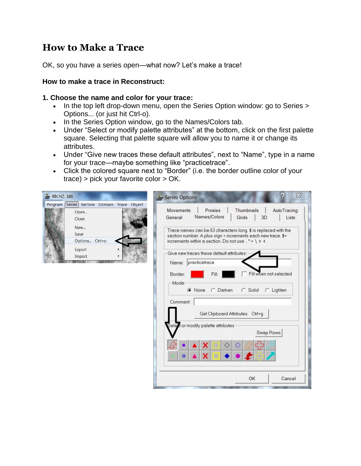### **How to Make a Trace**

OK, so you have a series open—what now? Let's make a trace!

#### **How to make a trace in Reconstruct:**

#### **1. Choose the name and color for your trace:**

- In the top left drop-down menu, open the Series Option window: go to Series > Options... (or just hit Ctrl-o).
- In the Series Option window, go to the Names/Colors tab.
- Under "Select or modify palette attributes" at the bottom, click on the first palette square. Selecting that palette square will allow you to name it or change its attributes.
- Under "Give new traces these default attributes", next to "Name", type in a name for your trace—maybe something like "practicetrace".
- Click the colored square next to "Border" (i.e. the border outline color of your trace) > pick your favorite color > OK.

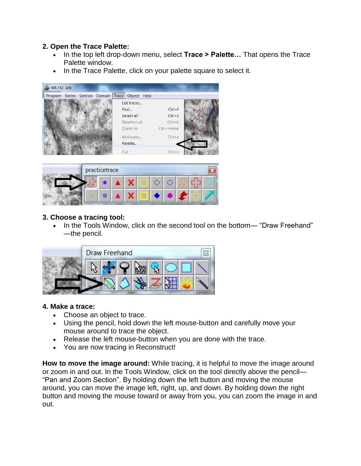#### **2. Open the Trace Palette:**

- In the top left drop-down menu, select **Trace > Palette…** That opens the Trace Palette window.
- In the Trace Palette, click on your palette square to select it.

| <b>BBCHZ: 186</b>                   |                                                              |                                                     |  |
|-------------------------------------|--------------------------------------------------------------|-----------------------------------------------------|--|
| Program Series Section Domain Trace | Object Help                                                  |                                                     |  |
|                                     | List traces<br>Find<br>Select all<br>Deselect all<br>Zoom to | $Ctrl + f$<br>$Ctrl + s$<br>$Ctrl + d$<br>Ctrl+Home |  |
|                                     | Attributes<br>Palette                                        | $Ctrl + a$                                          |  |
|                                     | Cut                                                          | $Ctrl + x$                                          |  |



#### **3. Choose a tracing tool:**

• In the Tools Window, click on the second tool on the bottom— "Draw Freehand" —the pencil.



#### **4. Make a trace:**

- Choose an object to trace.
- Using the pencil, hold down the left mouse-button and carefully move your mouse around to trace the object.
- Release the left mouse-button when you are done with the trace.
- You are now tracing in Reconstruct!

**How to move the image around:** While tracing, it is helpful to move the image around or zoom in and out. In the Tools Window, click on the tool directly above the pencil— "Pan and Zoom Section". By holding down the left button and moving the mouse around, you can move the image left, right, up, and down. By holding down the right button and moving the mouse toward or away from you, you can zoom the image in and out.